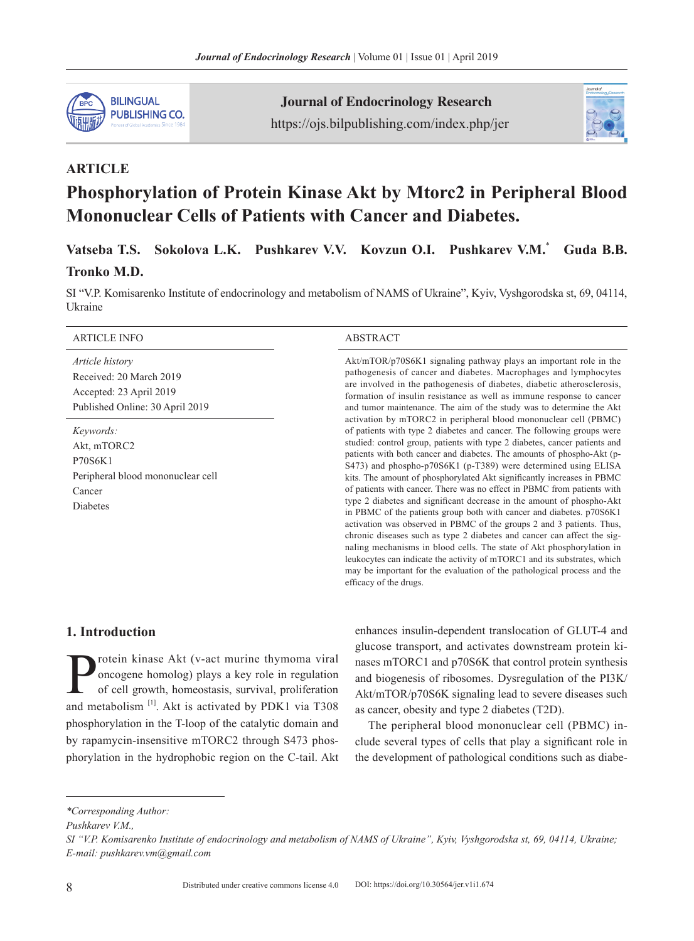

Journal of Endocrinology Research https://ojs.bilpublishing.com/index.php/jer



# **ARTICLE**

# **Phosphorylation of Protein Kinase Akt by Mtorc2 in Peripheral Blood Mononuclear Cells of Patients with Cancer and Diabetes.**

**Vatseba T.S. Sokolova L.K. Pushkarev V.V. Kovzun O.I. Pushkarev V.M.**\* **Guda B.B.**

### **Tronko M.D.**

SI "V.P. Komisarenko Institute of endocrinology and metabolism of NAMS of Ukraine", Kyiv, Vyshgorodska st, 69, 04114, Ukraine

#### ARTICLE INFO ABSTRACT

*Article history* Received: 20 March 2019 Accepted: 23 April 2019 Published Online: 30 April 2019

*Keywords:* Akt, mTORC2 P70S6K1 Peripheral blood mononuclear cell Cancer Diabetes

Akt/mTOR/p70S6K1 signaling pathway plays an important role in the pathogenesis of cancer and diabetes. Macrophages and lymphocytes are involved in the pathogenesis of diabetes, diabetic atherosclerosis, formation of insulin resistance as well as immune response to cancer and tumor maintenance. The aim of the study was to determine the Akt activation by mTORC2 in peripheral blood mononuclear cell (PBMC) of patients with type 2 diabetes and cancer. The following groups were studied: control group, patients with type 2 diabetes, cancer patients and patients with both cancer and diabetes. The amounts of phospho-Akt (р-S473) and phospho-p70S6K1 (p-T389) were determined using ELISA kits. The amount of phosphorylated Akt significantly increases in PBMC of patients with cancer. There was no effect in PBMC from patients with type 2 diabetes and significant decrease in the amount of phospho-Akt in PBMC of the patients group both with cancer and diabetes. p70S6K1 activation was observed in PBMC of the groups 2 and 3 patients. Thus, chronic diseases such as type 2 diabetes and cancer can affect the signaling mechanisms in blood cells. The state of Akt phosphorylation in leukocytes can indicate the activity of mTORC1 and its substrates, which may be important for the evaluation of the pathological process and the efficacy of the drugs.

# **1. Introduction**

**Protein kinase Akt (v-act murine thymoma viral oncogene homolog) plays a key role in regulation of cell growth, homeostasis, survival, proliferation and matched limit. Alt is activated by PDV 1 via T308** oncogene homolog) plays a key role in regulation of cell growth, homeostasis, survival, proliferation and metabolism<sup>[1]</sup>. Akt is activated by PDK1 via T308 phosphorylation in the T-loop of the catalytic domain and by rapamycin-insensitive mTORC2 through S473 phosphorylation in the hydrophobic region on the C-tail. Akt

enhances insulin-dependent translocation of GLUT-4 and glucose transport, and activates downstream protein kinases mTORC1 and p70S6K that control protein synthesis and biogenesis of ribosomes. Dysregulation of the PI3K/ Akt/mTOR/p70S6K signaling lead to severe diseases such as cancer, obesity and type 2 diabetes (T2D).

The peripheral blood mononuclear cell (PBMC) include several types of cells that play a significant role in the development of pathological conditions such as diabe-

*<sup>\*</sup>Corresponding Author:*

*Pushkarev V.M.,*

*SI "V.P. Komisarenko Institute of endocrinology and metabolism of NAMS of Ukraine", Kyiv, Vyshgorodska st, 69, 04114, Ukraine; E-mail: pushkarev.vm@gmail.com*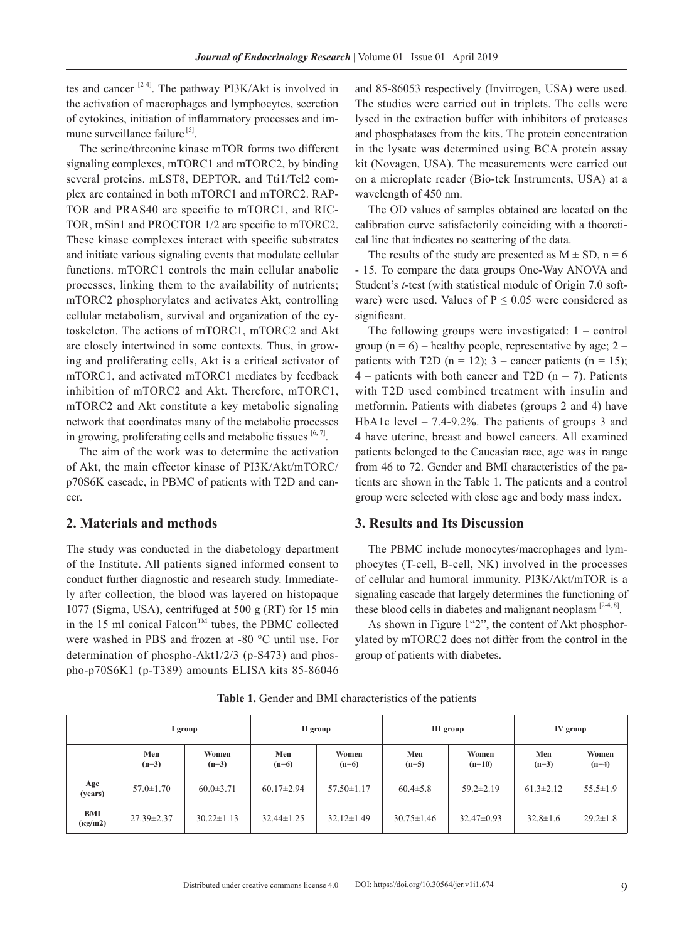tes and cancer [2-4]. The pathway PI3K/Akt is involved in the activation of macrophages and lymphocytes, secretion of cytokines, initiation of inflammatory processes and immune surveillance failure<sup>[5]</sup>.

The serine/threonine kinase mTOR forms two different signaling complexes, mTORC1 and mTORC2, by binding several proteins. mLST8, DEPTOR, and Tti1/Tel2 complex are contained in both mTORC1 and mTORC2. RAP-TOR and PRAS40 are specific to mTORC1, and RIC-TOR, mSin1 and PROCTOR 1/2 are specific to mTORC2. These kinase complexes interact with specific substrates and initiate various signaling events that modulate cellular functions. mTORC1 controls the main cellular anabolic processes, linking them to the availability of nutrients; mTORC2 phosphorylates and activates Akt, controlling cellular metabolism, survival and organization of the cytoskeleton. The actions of mTORC1, mTORC2 and Akt are closely intertwined in some contexts. Thus, in growing and proliferating cells, Akt is a critical activator of mTORC1, and activated mTORC1 mediates by feedback inhibition of mTORC2 and Akt. Therefore, mTORC1, mTORC2 and Akt constitute a key metabolic signaling network that coordinates many of the metabolic processes in growing, proliferating cells and metabolic tissues  $[6, 7]$ .

The aim of the work was to determine the activation of Akt, the main effector kinase of PI3K/Akt/mTORC/ p70S6K cascade, in PBMC of patients with T2D and cancer.

#### **2. Materials and methods**

The study was conducted in the diabetology department of the Institute. All patients signed informed consent to conduct further diagnostic and research study. Immediately after collection, the blood was layered on histopaque 1077 (Sigma, USA), centrifuged at 500 g (RT) for 15 min in the 15 ml conical Falcon<sup>TM</sup> tubes, the PBMC collected were washed in PBS and frozen at -80 °C until use. For determination of phospho-Akt1/2/3 (р-S473) and phospho-p70S6K1 (p-T389) amounts ELISA kits 85-86046

and 85-86053 respectively (Invitrogen, USА) were used. The studies were carried out in triplets. The cells were lysed in the extraction buffer with inhibitors of proteases and phosphatases from the kits. The protein concentration in the lysate was determined using BCA protein assay kit (Novagen, USA). The measurements were carried out on a microplate reader (Bio-tek Instruments, USA) at a wavelength of 450 nm.

The OD values of samples obtained are located on the calibration curve satisfactorily coinciding with a theoretical line that indicates no scattering of the data.

The results of the study are presented as  $M \pm SD$ , n = 6 - 15. To compare the data groups One-Way ANOVA and Student's *t*-test (with statistical module of Origin 7.0 software) were used. Values of  $P \le 0.05$  were considered as significant.

The following groups were investigated:  $1 - \text{control}$ group  $(n = 6)$  – healthy people, representative by age; 2 – patients with T2D ( $n = 12$ ); 3 – cancer patients ( $n = 15$ );  $4$  – patients with both cancer and T2D (n = 7). Patients with T2D used combined treatment with insulin and metformin. Patients with diabetes (groups 2 and 4) have HbA1c level – 7.4-9.2%. Тhe patients of groups 3 and 4 have uterine, breast and bowel cancers. All examined patients belonged to the Caucasian race, age was in range from 46 to 72. Gender and BMI characteristics of the patients are shown in the Table 1. The patients and a control group were selected with close age and body mass index.

#### **3. Results and Its Discussion**

The PBMC include monocytes/macrophages and lymphocytes (T-cell, B-cell, NK) involved in the processes of cellular and humoral immunity. PI3K/Akt/mTOR is a signaling cascade that largely determines the functioning of these blood cells in diabetes and malignant neoplasm  $[2-4, 8]$ .

As shown in Figure 1"2", the content of Akt phosphorylated by mTORC2 does not differ from the control in the group of patients with diabetes.

|                                | 1 group          |                  | II group         |                  | III group        |                   | IV group        |                  |
|--------------------------------|------------------|------------------|------------------|------------------|------------------|-------------------|-----------------|------------------|
|                                | Men<br>$(n=3)$   | Women<br>$(n=3)$ | Men<br>$(n=6)$   | Women<br>$(n=6)$ | Men<br>$(n=5)$   | Women<br>$(n=10)$ | Men<br>$(n=3)$  | Women<br>$(n=4)$ |
| Age<br>(years)                 | $57.0 \pm 1.70$  | $60.0 \pm 3.71$  | $60.17 \pm 2.94$ | $57.50 \pm 1.17$ | $60.4 \pm 5.8$   | $59.2 \pm 2.19$   | $61.3 \pm 2.12$ | $55.5 \pm 1.9$   |
| BMI<br>$(\text{kg}/\text{m2})$ | $27.39 \pm 2.37$ | $30.22 \pm 1.13$ | $32.44 \pm 1.25$ | $32.12 \pm 1.49$ | $30.75 \pm 1.46$ | $32.47\pm0.93$    | $32.8 \pm 1.6$  | $29.2 \pm 1.8$   |

**Table 1.** Gender and BMI characteristics of the patients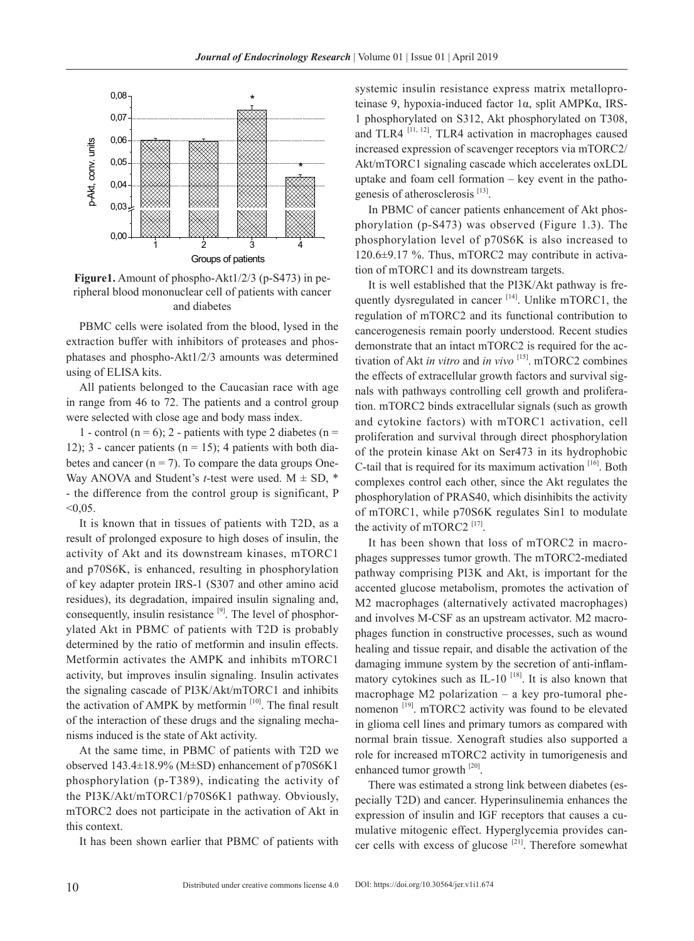

**Figure1.** Amount of phospho-Akt1/2/3 (р-S473) in peripheral blood mononuclear cell of patients with cancer and diabetes

PBMC cells were isolated from the blood, lysed in the extraction buffer with inhibitors of proteases and phosphatases and phospho-Akt1/2/3 amounts was determined using of ELISA kits.

All patients belonged to the Caucasian race with age in range from 46 to 72. The patients and a control group were selected with close age and body mass index.

1 - control ( $n = 6$ ); 2 - patients with type 2 diabetes ( $n =$ 12); 3 - cancer patients ( $n = 15$ ); 4 patients with both diabetes and cancer  $(n = 7)$ . To compare the data groups One-Way ANOVA and Student's *t*-test were used.  $M \pm SD$ , \* - the difference from the control group is significant, P  $< 0.05$ .

It is known that in tissues of patients with T2D, as a result of prolonged exposure to high doses of insulin, the activity of Akt and its downstream kinases, mTORC1 and p70S6K, is enhanced, resulting in phosphorylation of key adapter protein IRS-1 (S307 and other amino acid residues), its degradation, impaired insulin signaling and, consequently, insulin resistance  $[9]$ . The level of phosphorylated Akt in PBMC of patients with T2D is probably determined by the ratio of metformin and insulin effects. Metformin activates the AMPK and inhibits mTORC1 activity, but improves insulin signaling. Insulin activates the signaling cascade of PI3K/Akt/mTORC1 and inhibits the activation of AMPK by metformin  $[10]$ . The final result of the interaction of these drugs and the signaling mechanisms induced is the state of Akt activity.

At the same time, in PBMC of patients with T2D we observed 143.4±18.9% (M±SD) enhancement of p70S6K1 phosphorylation (p-T389), indicating the activity of the PI3K/Akt/mTORC1/p70S6K1 pathway. Obviously, mTORC2 does not participate in the activation of Akt in this context.

It has been shown earlier that PBMC of patients with

systemic insulin resistance express matrix metalloproteinase 9, hypoxia-induced factor 1α, split AMPKα, IRS-1 phosphorylated on S312, Akt phosphorylated on T308, and TLR4  $^{[11, 12]}$ . TLR4 activation in macrophages caused increased expression of scavenger receptors via mTORC2/ Akt/mTORC1 signaling cascade which accelerates oxLDL uptake and foam cell formation – key event in the pathogenesis of atherosclerosis<sup>[13]</sup>.

In PBMC of cancer patients enhancement of Akt phosphorylation (p-S473) was observed (Figure 1.3). The phosphorylation level of p70S6K is also increased to 120.6±9.17 %. Thus, mTORC2 may contribute in activation of mTORC1 and its downstream targets.

It is well established that the PI3K/Akt pathway is frequently dysregulated in cancer [14]. Unlike mTORC1, the regulation of mTORC2 and its functional contribution to cancerogenesis remain poorly understood. Recent studies demonstrate that an intact mTORC2 is required for the activation of Akt *in vitro* and *in vivo* [15]. mTORC2 combines the effects of extracellular growth factors and survival signals with pathways controlling cell growth and proliferation. mTORC2 binds extracellular signals (such as growth and cytokine factors) with mTORC1 activation, cell proliferation and survival through direct phosphorylation of the protein kinase Akt on Ser473 in its hydrophobic C-tail that is required for its maximum activation  $[16]$ . Both complexes control each other, since the Akt regulates the phosphorylation of PRAS40, which disinhibits the activity of mTORC1, while p70S6K regulates Sin1 to modulate the activity of mTORC2  $^{[17]}$ .

It has been shown that loss of mTORC2 in macrophages suppresses tumor growth. The mTORC2-mediated pathway comprising PI3K and Akt, is important for the accented glucose metabolism, promotes the activation of M2 macrophages (alternatively activated macrophages) and involves M-CSF as an upstream activator. M2 macrophages function in constructive processes, such as wound healing and tissue repair, and disable the activation of the damaging immune system by the secretion of anti-inflammatory cytokines such as IL-10  $^{[18]}$ . It is also known that macrophage M2 polarization – a key pro-tumoral phenomenon<sup>[19]</sup>. mTORC2 activity was found to be elevated in glioma cell lines and primary tumors as compared with normal brain tissue. Xenograft studies also supported a role for increased mTORC2 activity in tumorigenesis and enhanced tumor growth [20].

There was estimated a strong link between diabetes (especially T2D) and cancer. Hyperinsulinemia enhances the expression of insulin and IGF receptors that causes a cumulative mitogenic effect. Hyperglycemia provides cancer cells with excess of glucose  $[21]$ . Therefore somewhat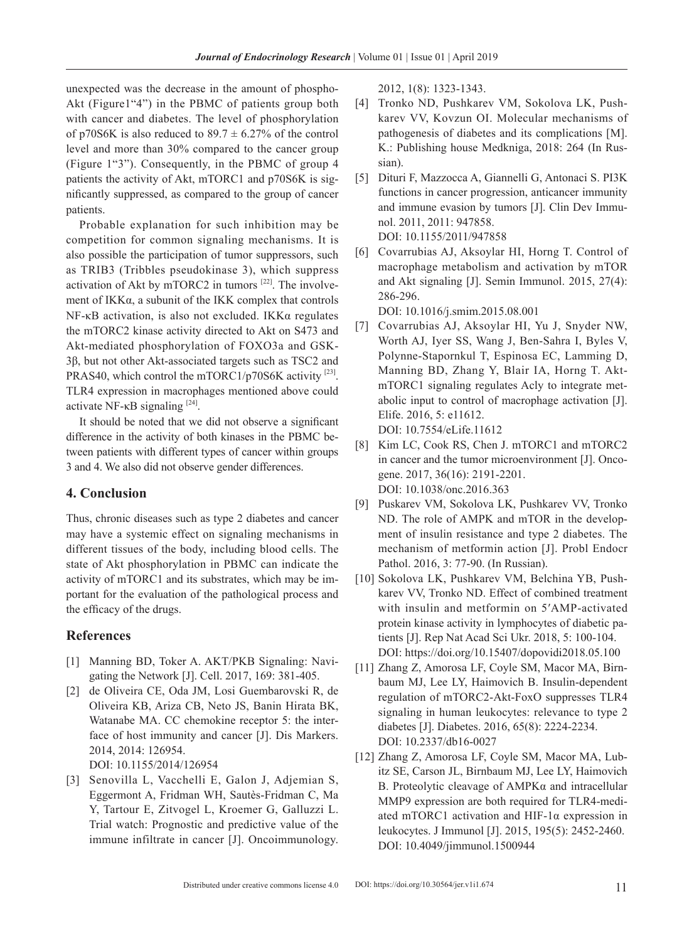unexpected was the decrease in the amount of phospho-Akt (Figure1"4") in the PBMC of patients group both with cancer and diabetes. The level of phosphorylation of p70S6K is also reduced to  $89.7 \pm 6.27\%$  of the control level and more than 30% compared to the cancer group (Figure 1"3"). Consequently, in the PBMC of group 4 patients the activity of Akt, mTORC1 and p70S6K is significantly suppressed, as compared to the group of cancer patients.

Probable explanation for such inhibition may be competition for common signaling mechanisms. It is also possible the participation of tumor suppressors, such as TRIB3 (Tribbles pseudokinase 3), which suppress activation of Akt by mTORC2 in tumors  $[22]$ . The involvement of IKKα, a subunit of the IKK complex that controls NF-κB activation, is also not excluded. IKKα regulates the mTORC2 kinase activity directed to Akt on S473 and Akt-mediated phosphorylation of FOXO3a and GSK-3β, but not other Akt-associated targets such as TSC2 and PRAS40, which control the mTORC1/p70S6K activity [23]. TLR4 expression in macrophages mentioned above could activate NF-κB signaling [24].

It should be noted that we did not observe a significant difference in the activity of both kinases in the PBMC between patients with different types of cancer within groups 3 and 4. We also did not observe gender differences.

## **4. Conclusion**

Thus, chronic diseases such as type 2 diabetes and cancer may have a systemic effect on signaling mechanisms in different tissues of the body, including blood cells. The state of Akt phosphorylation in PBMC can indicate the activity of mTORC1 and its substrates, which may be important for the evaluation of the pathological process and the efficacy of the drugs.

# **References**

- [1] Manning BD, Toker A. AKT/PKB Signaling: Navigating the Network [J]. Cell. 2017, 169: 381-405.
- [2] de Oliveira CE, Oda JM, Losi Guembarovski R, de Oliveira KB, Ariza CB, Neto JS, Banin Hirata BK, Watanabe MA. CC chemokine receptor 5: the interface of host immunity and cancer [J]. Dis Markers. 2014, 2014: 126954.

DOI: 10.1155/2014/126954

[3] Senovilla L, Vacchelli E, Galon J, Adjemian S, Eggermont A, Fridman WH, Sautès-Fridman C, Ma Y, Tartour E, Zitvogel L, Kroemer G, Galluzzi L. Trial watch: Prognostic and predictive value of the immune infiltrate in cancer [J]. Oncoimmunology. 2012, 1(8): 1323-1343.

- [4] Tronko ND, Pushkarev VM, Sokolova LK, Pushkarev VV, Kovzun OI. Molecular mechanisms of pathogenesis of diabetes and its complications [M]. K.: Publishing house Medkniga, 2018: 264 (In Russian).
- [5] Dituri F, Mazzocca A, Giannelli G, Antonaci S. PI3K functions in cancer progression, anticancer immunity and immune evasion by tumors [J]. Clin Dev Immunol. 2011, 2011: 947858. DOI: 10.1155/2011/947858
- [6] Covarrubias AJ, Aksoylar HI, Horng T. Control of macrophage metabolism and activation by mTOR and Akt signaling [J]. Semin Immunol. 2015, 27(4): 286-296.

DOI: 10.1016/j.smim.2015.08.001

- [7] Covarrubias AJ, Aksoylar HI, Yu J, Snyder NW, Worth AJ, Iyer SS, Wang J, Ben-Sahra I, Byles V, Polynne-Stapornkul T, Espinosa EC, Lamming D, Manning BD, Zhang Y, Blair IA, Horng T. AktmTORC1 signaling regulates Acly to integrate metabolic input to control of macrophage activation [J]. Elife. 2016, 5: e11612. DOI: 10.7554/eLife.11612
- [8] Kim LC, Cook RS, Chen J. mTORC1 and mTORC2 in cancer and the tumor microenvironment [J]. Oncogene. 2017, 36(16): 2191-2201. DOI: 10.1038/onc.2016.363
- [9] Puskarev VM, Sokolova LK, Pushkarev VV, Tronko ND. The role of AMPK and mTOR in the development of insulin resistance and type 2 diabetes. The mechanism of metformin action [J]. Probl Endocr Pathol. 2016, 3: 77-90. (In Russian).
- [10] Sokolova LK, Pushkarev VM, Belchina YB, Pushkarev VV, Tronko ND. Effect of combined treatment with insulin and metformin on 5′AMP-activated protein kinase activity in lymphocytes of diabetic patients [J]. Rep Nat Acad Sci Ukr. 2018, 5: 100-104. DOI: <https://doi.org/10.15407/dopovidi2018.05.100>
- [11] Zhang Z, Amorosa LF, Coyle SM, Macor MA, Birnbaum MJ, Lee LY, Haimovich B. Insulin-dependent regulation of mTORC2-Akt-FoxO suppresses TLR4 signaling in human leukocytes: relevance to type 2 diabetes [J]. Diabetes. 2016, 65(8): 2224-2234. DOI: 10.2337/db16-0027
- [12] Zhang Z, Amorosa LF, Coyle SM, Macor MA, Lubitz SE, Carson JL, Birnbaum MJ, Lee LY, Haimovich B. Proteolytic cleavage of AMPKα and intracellular MMP9 expression are both required for TLR4-mediated mTORC1 activation and HIF-1α expression in leukocytes. J Immunol [J]. 2015, 195(5): 2452-2460. DOI: 10.4049/jimmunol.1500944